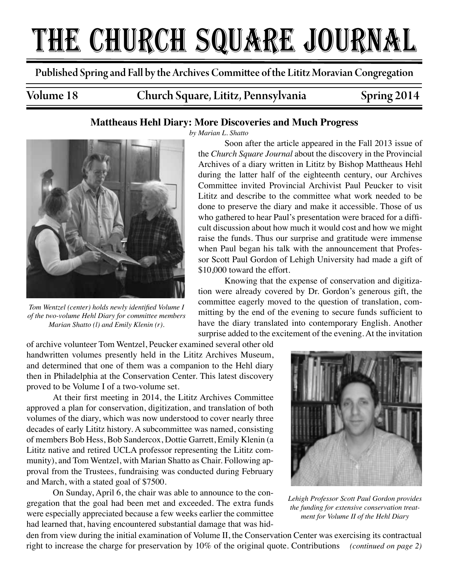# THE CHURCH SQUARE JOURNAL

Published Spring and Fall by the Archives Committee of the Lititz Moravian Congregation

Volume 18 Church Square, Lititz, Pennsylvania Spring 2014

# **Mattheaus Hehl Diary: More Discoveries and Much Progress**



*Tom Wentzel (center) holds newly identified Volume I of the two-volume Hehl Diary for committee members Marian Shatto (l) and Emily Klenin (r).*

*by Marian L. Shatto*

Soon after the article appeared in the Fall 2013 issue of the *Church Square Journal* about the discovery in the Provincial Archives of a diary written in Lititz by Bishop Mattheaus Hehl during the latter half of the eighteenth century, our Archives Committee invited Provincial Archivist Paul Peucker to visit Lititz and describe to the committee what work needed to be done to preserve the diary and make it accessible. Those of us who gathered to hear Paul's presentation were braced for a difficult discussion about how much it would cost and how we might raise the funds. Thus our surprise and gratitude were immense when Paul began his talk with the announcement that Professor Scott Paul Gordon of Lehigh University had made a gift of \$10,000 toward the effort.

Knowing that the expense of conservation and digitization were already covered by Dr. Gordon's generous gift, the committee eagerly moved to the question of translation, committing by the end of the evening to secure funds sufficient to have the diary translated into contemporary English. Another surprise added to the excitement of the evening. At the invitation

of archive volunteer Tom Wentzel, Peucker examined several other old handwritten volumes presently held in the Lititz Archives Museum, and determined that one of them was a companion to the Hehl diary then in Philadelphia at the Conservation Center. This latest discovery proved to be Volume I of a two-volume set.

At their first meeting in 2014, the Lititz Archives Committee approved a plan for conservation, digitization, and translation of both volumes of the diary, which was now understood to cover nearly three decades of early Lititz history. A subcommittee was named, consisting of members Bob Hess, Bob Sandercox, Dottie Garrett, Emily Klenin (a Lititz native and retired UCLA professor representing the Lititz community), and Tom Wentzel, with Marian Shatto as Chair. Following approval from the Trustees, fundraising was conducted during February and March, with a stated goal of \$7500.

On Sunday, April 6, the chair was able to announce to the congregation that the goal had been met and exceeded. The extra funds were especially appreciated because a few weeks earlier the committee had learned that, having encountered substantial damage that was hid-



*Lehigh Professor Scott Paul Gordon provides the funding for extensive conservation treatment for Volume II of the Hehl Diary*

den from view during the initial examination of Volume II, the Conservation Center was exercising its contractual right to increase the charge for preservation by 10% of the original quote. Contributions *(continued on page 2)*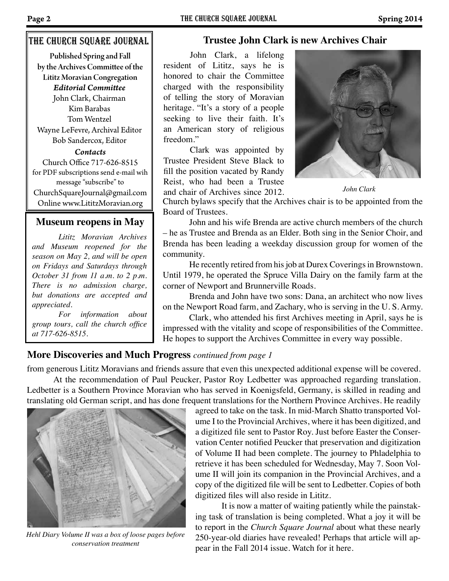## The church square Journal

Published Spring and Fall by the Archives Committee of the Lititz Moravian Congregation *Contacts* Church Office 717-626-8515 for PDF subscriptions send e-mail wih message "subscribe" to ChurchSquareJournal@gmail.com *Editorial Committee* John Clark, Chairman Kim Barabas Tom Wentzel Wayne LeFevre, Archival Editor Bob Sandercox, Editor

Online www.LititzMoravian.org

## **Museum reopens in May**

*Lititz Moravian Archives and Museum reopened for the season on May 2, and will be open on Fridays and Saturdays through October 31 from 11 a.m. to 2 p.m. There is no admission charge, but donations are accepted and appreciated.*

*For information about group tours, call the church office at 717-626-8515.*

# **Trustee John Clark is new Archives Chair**

John Clark, a lifelong resident of Lititz, says he is honored to chair the Committee charged with the responsibility of telling the story of Moravian heritage. "It's a story of a people seeking to live their faith. It's an American story of religious freedom."

Clark was appointed by Trustee President Steve Black to fill the position vacated by Randy Reist, who had been a Trustee and chair of Archives since 2012. *John Clark*



Church bylaws specify that the Archives chair is to be appointed from the Board of Trustees.

John and his wife Brenda are active church members of the church – he as Trustee and Brenda as an Elder. Both sing in the Senior Choir, and Brenda has been leading a weekday discussion group for women of the community.

He recently retired from his job at Durex Coverings in Brownstown. Until 1979, he operated the Spruce Villa Dairy on the family farm at the corner of Newport and Brunnerville Roads.

Brenda and John have two sons: Dana, an architect who now lives on the Newport Road farm, and Zachary, who is serving in the U. S. Army.

Clark, who attended his first Archives meeting in April, says he is impressed with the vitality and scope of responsibilities of the Committee. He hopes to support the Archives Committee in every way possible.

## **More Discoveries and Much Progress** *continued from page 1*

from generous Lititz Moravians and friends assure that even this unexpected additional expense will be covered.

At the recommendation of Paul Peucker, Pastor Roy Ledbetter was approached regarding translation. Ledbetter is a Southern Province Moravian who has served in Koenigsfeld, Germany, is skilled in reading and translating old German script, and has done frequent translations for the Northern Province Archives. He readily



*Hehl Diary Volume II was a box of loose pages before conservation treatment*

agreed to take on the task. In mid-March Shatto transported Volume I to the Provincial Archives, where it has been digitized, and a digitized file sent to Pastor Roy. Just before Easter the Conservation Center notified Peucker that preservation and digitization of Volume II had been complete. The journey to Phladelphia to retrieve it has been scheduled for Wednesday, May 7. Soon Volume II will join its companion in the Provincial Archives, and a copy of the digitized file will be sent to Ledbetter. Copies of both digitized files will also reside in Lititz.

It is now a matter of waiting patiently while the painstaking task of translation is being completed. What a joy it will be to report in the *Church Square Journal* about what these nearly 250-year-old diaries have revealed! Perhaps that article will appear in the Fall 2014 issue. Watch for it here.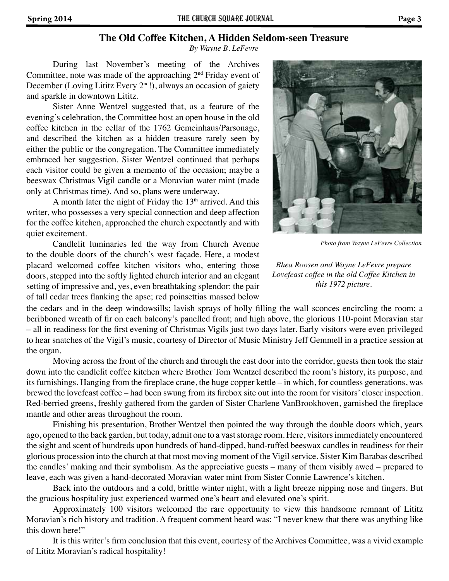## **The Old Coffee Kitchen, A Hidden Seldom-seen Treasure**

*By Wayne B. LeFevre*

During last November's meeting of the Archives Committee, note was made of the approaching 2nd Friday event of December (Loving Lititz Every 2<sup>nd</sup>!), always an occasion of gaiety and sparkle in downtown Lititz.

Sister Anne Wentzel suggested that, as a feature of the evening's celebration, the Committee host an open house in the old coffee kitchen in the cellar of the 1762 Gemeinhaus/Parsonage, and described the kitchen as a hidden treasure rarely seen by either the public or the congregation. The Committee immediately embraced her suggestion. Sister Wentzel continued that perhaps each visitor could be given a memento of the occasion; maybe a beeswax Christmas Vigil candle or a Moravian water mint (made only at Christmas time). And so, plans were underway.

A month later the night of Friday the  $13<sup>th</sup>$  arrived. And this writer, who possesses a very special connection and deep affection for the coffee kitchen, approached the church expectantly and with quiet excitement.

Candlelit luminaries led the way from Church Avenue to the double doors of the church's west façade. Here, a modest placard welcomed coffee kitchen visitors who, entering those doors, stepped into the softly lighted church interior and an elegant setting of impressive and, yes, even breathtaking splendor: the pair of tall cedar trees flanking the apse; red poinsettias massed below



*Photo from Wayne LeFevre Collection*

*Rhea Roosen and Wayne LeFevre prepare Lovefeast coffee in the old Coffee Kitchen in this 1972 picture.*

the cedars and in the deep windowsills; lavish sprays of holly filling the wall sconces encircling the room; a beribboned wreath of fir on each balcony's panelled front; and high above, the glorious 110-point Moravian star – all in readiness for the first evening of Christmas Vigils just two days later. Early visitors were even privileged to hear snatches of the Vigil's music, courtesy of Director of Music Ministry Jeff Gemmell in a practice session at the organ.

Moving across the front of the church and through the east door into the corridor, guests then took the stair down into the candlelit coffee kitchen where Brother Tom Wentzel described the room's history, its purpose, and its furnishings. Hanging from the fireplace crane, the huge copper kettle – in which, for countless generations, was brewed the lovefeast coffee – had been swung from its firebox site out into the room for visitors' closer inspection. Red-berried greens, freshly gathered from the garden of Sister Charlene VanBrookhoven, garnished the fireplace mantle and other areas throughout the room.

Finishing his presentation, Brother Wentzel then pointed the way through the double doors which, years ago, opened to the back garden, but today, admit one to a vast storage room. Here, visitors immediately encountered the sight and scent of hundreds upon hundreds of hand-dipped, hand-ruffed beeswax candles in readiness for their glorious procession into the church at that most moving moment of the Vigil service. Sister Kim Barabas described the candles' making and their symbolism. As the appreciative guests – many of them visibly awed – prepared to leave, each was given a hand-decorated Moravian water mint from Sister Connie Lawrence's kitchen.

Back into the outdoors and a cold, brittle winter night, with a light breeze nipping nose and fingers. But the gracious hospitality just experienced warmed one's heart and elevated one's spirit.

Approximately 100 visitors welcomed the rare opportunity to view this handsome remnant of Lititz Moravian's rich history and tradition. A frequent comment heard was: "I never knew that there was anything like this down here!"

It is this writer's firm conclusion that this event, courtesy of the Archives Committee, was a vivid example of Lititz Moravian's radical hospitality!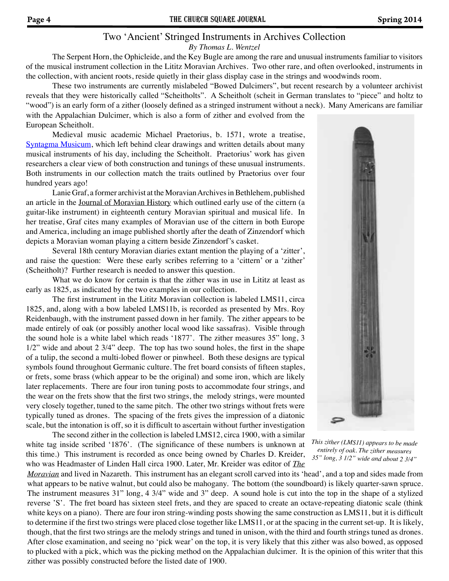# Two 'Ancient' Stringed Instruments in Archives Collection

#### *By Thomas L. Wentzel*

The Serpent Horn, the Ophicleide, and the Key Bugle are among the rare and unusual instruments familiar to visitors of the musical instrument collection in the Lititz Moravian Archives. Two other rare, and often overlooked, instruments in the collection, with ancient roots, reside quietly in their glass display case in the strings and woodwinds room.

These two instruments are currently mislabeled "Bowed Dulcimers", but recent research by a volunteer archivist reveals that they were historically called "Scheitholts". A Scheitholt (scheit in German translates to "piece" and holtz to "wood") is an early form of a zither (loosely defined as a stringed instrument without a neck). Many Americans are familiar with the Appalachian Dulcimer, which is also a form of zither and evolved from the European Scheitholt.

Medieval music academic Michael Praetorius, b. 1571, wrote a treatise, Syntagma Musicum, which left behind clear drawings and written details about many musical instruments of his day, including the Scheitholt. Praetorius' work has given researchers a clear view of both construction and tunings of these unusual instruments. Both instruments in our collection match the traits outlined by Praetorius over four hundred years ago!

Lanie Graf, a former archivist at the Moravian Archives in Bethlehem, published an article in the Journal of Moravian History which outlined early use of the cittern (a guitar-like instrument) in eighteenth century Moravian spiritual and musical life. In her treatise, Graf cites many examples of Moravian use of the cittern in both Europe and America, including an image published shortly after the death of Zinzendorf which depicts a Moravian woman playing a cittern beside Zinzendorf's casket.

Several 18th century Moravian diaries extant mention the playing of a 'zitter', and raise the question: Were these early scribes referring to a 'cittern' or a 'zither' (Scheitholt)? Further research is needed to answer this question.

What we do know for certain is that the zither was in use in Lititz at least as early as 1825, as indicated by the two examples in our collection.

The first instrument in the Lititz Moravian collection is labeled LMS11, circa 1825, and, along with a bow labeled LMS11b, is recorded as presented by Mrs. Roy Reidenbaugh, with the instrument passed down in her family. The zither appears to be made entirely of oak (or possibly another local wood like sassafras). Visible through the sound hole is a white label which reads '1877'. The zither measures 35" long, 3 1/2" wide and about 2 3/4" deep. The top has two sound holes, the first in the shape of a tulip, the second a multi-lobed flower or pinwheel. Both these designs are typical symbols found throughout Germanic culture. The fret board consists of fifteen staples, or frets, some brass (which appear to be the original) and some iron, which are likely later replacements. There are four iron tuning posts to accommodate four strings, and the wear on the frets show that the first two strings, the melody strings, were mounted very closely together, tuned to the same pitch. The other two strings without frets were typically tuned as drones. The spacing of the frets gives the impression of a diatonic scale, but the intonation is off, so it is difficult to ascertain without further investigation

The second zither in the collection is labeled LMS12, circa 1900, with a similar white tag inside scribed '1876'. (The significance of these numbers is unknown at this time.) This instrument is recorded as once being owned by Charles D. Kreider, who was Headmaster of Linden Hall circa 1900. Later, Mr. Kreider was editor of *The* 



*This zither (LMS11) appears to be made entirely of oak. The zither measures 35" long, 3 1/2" wide and about 2 3/4"* 

*Moravian* and lived in Nazareth. This instrument has an elegant scroll carved into its 'head', and a top and sides made from what appears to be native walnut, but could also be mahogany. The bottom (the soundboard) is likely quarter-sawn spruce. The instrument measures 31" long, 4 3/4" wide and 3" deep. A sound hole is cut into the top in the shape of a stylized reverse 'S'. The fret board has sixteen steel frets, and they are spaced to create an octave-repeating diatonic scale (think white keys on a piano). There are four iron string-winding posts showing the same construction as LMS11, but it is difficult to determine if the first two strings were placed close together like LMS11, or at the spacing in the current set-up. It is likely, though, that the first two strings are the melody strings and tuned in unison, with the third and fourth strings tuned as drones. After close examination, and seeing no 'pick wear' on the top, it is very likely that this zither was also bowed, as opposed to plucked with a pick, which was the picking method on the Appalachian dulcimer. It is the opinion of this writer that this zither was possibly constructed before the listed date of 1900.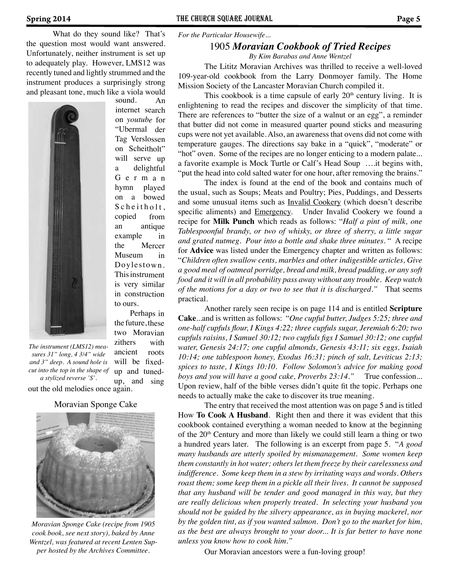What do they sound like? That's the question most would want answered. Unfortunately, neither instrument is set up to adequately play. However, LMS12 was recently tuned and lightly strummed and the instrument produces a surprisingly strong and pleasant tone, much like a viola would sound. An



out the old melodies once again. *The instrument (LMS12) measures 31" long, 4 3/4" wide and 3" deep. A sound hole is cut into the top in the shape of a stylized reverse 'S'.* 

 Perhaps in the future, these two Moravian zithers with ancient roots will be fixedup and tunedup, and sing

to ours.

internet search on *youtube* for "Ubermal der Tag Verslossen on Scheitholt" will serve up a delightful G <sup>e</sup> <sup>r</sup> <sup>m</sup> <sup>a</sup> <sup>n</sup> hymn played on a bowed S che itholt. copied from an antique example in the Mercer Museum in Doylestown. This instrument is very similar in construction

#### Moravian Sponge Cake



*Moravian Sponge Cake (recipe from 1905 cook book, see next story), baked by Anne Wentzel, was featured at recent Lenten Supper hosted by the Archives Committee.*

*For the Particular Housewife...*

### 1905 *Moravian Cookbook of Tried Recipes*

*By Kim Barabas and Anne Wentzel*

The Lititz Moravian Archives was thrilled to receive a well-loved 109-year-old cookbook from the Larry Donmoyer family. The Home Mission Society of the Lancaster Moravian Church compiled it.

This cookbook is a time capsule of early  $20<sup>th</sup>$  century living. It is enlightening to read the recipes and discover the simplicity of that time. There are references to "butter the size of a walnut or an egg", a reminder that butter did not come in measured quarter pound sticks and measuring cups were not yet available. Also, an awareness that ovens did not come with temperature gauges. The directions say bake in a "quick", "moderate" or "hot" oven. Some of the recipes are no longer enticing to a modern palate... a favorite example is Mock Turtle or Calf's Head Soup ….it begins with, "put the head into cold salted water for one hour, after removing the brains."

The index is found at the end of the book and contains much of the usual, such as Soups; Meats and Poultry; Pies, Puddings, and Desserts and some unusual items such as Invalid Cookery (which doesn't describe specific aliments) and Emergency. Under Invalid Cookery we found a recipe for **Milk Punch** which reads as follows: "*Half a pint of milk, one Tablespoonful brandy, or two of whisky, or three of sherry, a little sugar and grated nutmeg. Pour into a bottle and shake three minutes*. " A recipe for **Advice** was listed under the Emergency chapter and written as follows: "*Children often swallow cents, marbles and other indigestible articles, Give a good meal of oatmeal porridge, bread and milk, bread pudding, or any soft food and it will in all probability pass away without any trouble. Keep watch of the motions for a day or two to see that it is discharged."* That seems practical.

Another rarely seen recipe is on page 114 and is entitled **Scripture Cake**...and is written as follows: "*One cupful butter, Judges 5:25; three and one-half cupfuls flour, I Kings 4:22; three cupfuls sugar, Jeremiah 6:20; two cupfuls raisins, I Samuel 30:12; two cupfuls figs I Samuel 30:12; one cupful water, Genesis 24:17; one cupful almonds, Genesis 43:11; six eggs, Isaiah 10:14; one tablespoon honey, Exodus 16:31; pinch of salt, Leviticus 2:13; spices to taste, I Kings 10:10. Follow Solomon's advice for making good boys and you will have a good cake, Proverbs 23:14."* True confession... Upon review, half of the bible verses didn't quite fit the topic. Perhaps one needs to actually make the cake to discover its true meaning.

The entry that received the most attention was on page 5 and is titled How **To Cook A Husband**. Right then and there it was evident that this cookbook contained everything a woman needed to know at the beginning of the 20<sup>th</sup> Century and more than likely we could still learn a thing or two a hundred years later. The following is an excerpt from page 5. "*A good many husbands are utterly spoiled by mismanagement. Some women keep them constantly in hot water; others let them freeze by their carelessness and indifference. Some keep them in a stew by irritating ways and words. Others roast them; some keep them in a pickle all their lives. It cannot be supposed that any husband will be tender and good managed in this way, but they are really delicious when properly treated. In selecting your husband you should not be guided by the silvery appearance, as in buying mackerel, nor by the golden tint, as if you wanted salmon. Don't go to the market for him, as the best are always brought to your door... It is far better to have none unless you know how to cook him."*

Our Moravian ancestors were a fun-loving group!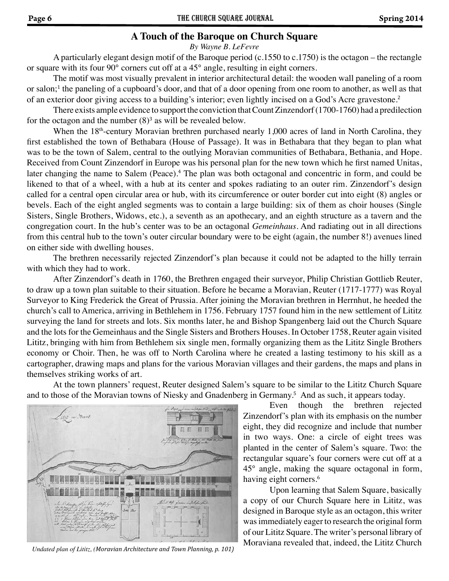# **A Touch of the Baroque on Church Square**

*By Wayne B. LeFevre*

A particularly elegant design motif of the Baroque period (c.1550 to c.1750) is the octagon – the rectangle or square with its four 90° corners cut off at a 45° angle, resulting in eight corners.

The motif was most visually prevalent in interior architectural detail: the wooden wall paneling of a room or salon;<sup>1</sup> the paneling of a cupboard's door, and that of a door opening from one room to another, as well as that of an exterior door giving access to a building's interior; even lightly incised on a God's Acre gravestone.<sup>2</sup>

There exists ample evidence to support the conviction that Count Zinzendorf (1700-1760) had a predilection for the octagon and the number  $(8)^3$  as will be revealed below.

When the 18<sup>th</sup>-century Moravian brethren purchased nearly 1,000 acres of land in North Carolina, they first established the town of Bethabara (House of Passage). It was in Bethabara that they began to plan what was to be the town of Salem, central to the outlying Moravian communities of Bethabara, Bethania, and Hope. Received from Count Zinzendorf in Europe was his personal plan for the new town which he first named Unitas, later changing the name to Salem (Peace).<sup>4</sup> The plan was both octagonal and concentric in form, and could be likened to that of a wheel, with a hub at its center and spokes radiating to an outer rim. Zinzendorf's design called for a central open circular area or hub, with its circumference or outer border cut into eight (8) angles or bevels. Each of the eight angled segments was to contain a large building: six of them as choir houses (Single Sisters, Single Brothers, Widows, etc.), a seventh as an apothecary, and an eighth structure as a tavern and the congregation court. In the hub's center was to be an octagonal *Gemeinhaus*. And radiating out in all directions from this central hub to the town's outer circular boundary were to be eight (again, the number 8!) avenues lined on either side with dwelling houses.

The brethren necessarily rejected Zinzendorf's plan because it could not be adapted to the hilly terrain with which they had to work.

After Zinzendorf's death in 1760, the Brethren engaged their surveyor, Philip Christian Gottlieb Reuter, to draw up a town plan suitable to their situation. Before he became a Moravian, Reuter (1717-1777) was Royal Surveyor to King Frederick the Great of Prussia. After joining the Moravian brethren in Herrnhut, he heeded the church's call to America, arriving in Bethlehem in 1756. February 1757 found him in the new settlement of Lititz surveying the land for streets and lots. Six months later, he and Bishop Spangenberg laid out the Church Square and the lots for the Gemeinhaus and the Single Sisters and Brothers Houses. In October 1758, Reuter again visited Lititz, bringing with him from Bethlehem six single men, formally organizing them as the Lititz Single Brothers economy or Choir. Then, he was off to North Carolina where he created a lasting testimony to his skill as a cartographer, drawing maps and plans for the various Moravian villages and their gardens, the maps and plans in themselves striking works of art.

At the town planners' request, Reuter designed Salem's square to be similar to the Lititz Church Square and to those of the Moravian towns of Niesky and Gnadenberg in Germany.<sup>5</sup> And as such, it appears today.



*Undated plan of Lititz, (Moravian Architecture and Town Planning, p. 101)*

Even though the brethren rejected Zinzendorf's plan with its emphasis on the number eight, they did recognize and include that number in two ways. One: a circle of eight trees was planted in the center of Salem's square. Two: the rectangular square's four corners were cut off at a 45° angle, making the square octagonal in form, having eight corners.<sup>6</sup>

Upon learning that Salem Square, basically a copy of our Church Square here in Lititz, was designed in Baroque style as an octagon, this writer was immediately eager to research the original form of our Lititz Square. The writer's personal library of Moraviana revealed that, indeed, the Lititz Church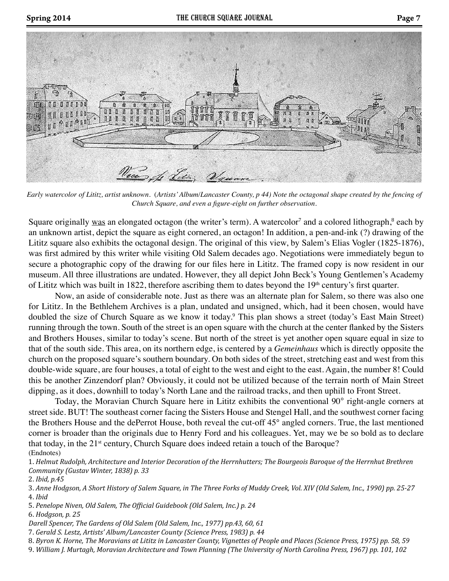



*Early watercolor of Lititz, artist unknown.* (*Artists' Album/Lancaster County, p 44) Note the octagonal shape created by the fencing of Church Square, and even a figure-eight on further observation.*

Square originally was an elongated octagon (the writer's term). A watercolor<sup>7</sup> and a colored lithograph,<sup>8</sup> each by an unknown artist, depict the square as eight cornered, an octagon! In addition, a pen-and-ink (?) drawing of the Lititz square also exhibits the octagonal design. The original of this view, by Salem's Elias Vogler (1825-1876), was first admired by this writer while visiting Old Salem decades ago. Negotiations were immediately begun to secure a photographic copy of the drawing for our files here in Lititz. The framed copy is now resident in our museum. All three illustrations are undated. However, they all depict John Beck's Young Gentlemen's Academy of Lititz which was built in 1822, therefore ascribing them to dates beyond the 19<sup>th</sup> century's first quarter.

Now, an aside of considerable note. Just as there was an alternate plan for Salem, so there was also one for Lititz. In the Bethlehem Archives is a plan, undated and unsigned, which, had it been chosen, would have doubled the size of Church Square as we know it today.<sup>9</sup> This plan shows a street (today's East Main Street) running through the town. South of the street is an open square with the church at the center flanked by the Sisters and Brothers Houses, similar to today's scene. But north of the street is yet another open square equal in size to that of the south side. This area, on its northern edge, is centered by a *Gemeinhaus* which is directly opposite the church on the proposed square's southern boundary. On both sides of the street, stretching east and west from this double-wide square, are four houses, a total of eight to the west and eight to the east. Again, the number 8! Could this be another Zinzendorf plan? Obviously, it could not be utilized because of the terrain north of Main Street dipping, as it does, downhill to today's North Lane and the railroad tracks, and then uphill to Front Street.

Today, the Moravian Church Square here in Lititz exhibits the conventional 90° right-angle corners at street side. BUT! The southeast corner facing the Sisters House and Stengel Hall, and the southwest corner facing the Brothers House and the dePerrot House, both reveal the cut-off 45° angled corners. True, the last mentioned corner is broader than the originals due to Henry Ford and his colleagues. Yet, may we be so bold as to declare that today, in the 21<sup>st</sup> century, Church Square does indeed retain a touch of the Baroque? (Endnotes)

1. *Helmut Rudolph, Architecture and Interior Decoration of the Herrnhutters; The Bourgeois Baroque of the Herrnhut Brethren Community (Gustav Winter, 1838) p. 33*

6. *Hodgson, p. 25*

*Darell Spencer, The Gardens of Old Salem (Old Salem, Inc., 1977) pp.43, 60, 61*

7. *Gerald S. Lestz, Artists' Album/Lancaster County (Science Press, 1983) p. 44*

8. *Byron K. Horne, The Moravians at Lititz in Lancaster County, Vignettes of People and Places (Science Press, 1975) pp. 58, 59*

9. *William J. Murtagh, Moravian Architecture and Town Planning (The University of North Carolina Press, 1967) pp. 101, 102*

<sup>2.</sup> *Ibid, p.45*

<sup>3.</sup> *Anne Hodgson, A Short History of Salem Square, in The Three Forks of Muddy Creek, Vol. XIV (Old Salem, Inc., 1990) pp. 25-27* 4. *Ibid*

<sup>5.</sup> *Penelope Niven, Old Salem, The Official Guidebook (Old Salem, Inc.) p. 24*